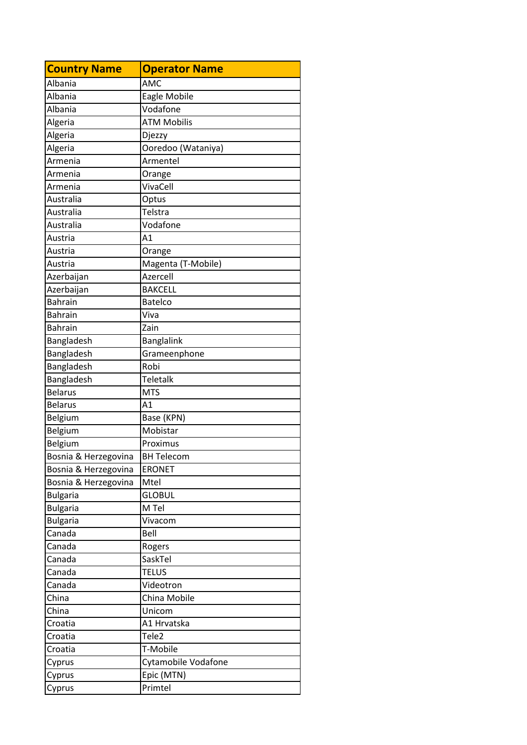| <b>Country Name</b>  | <b>Operator Name</b> |
|----------------------|----------------------|
| Albania              | AMC                  |
| Albania              | Eagle Mobile         |
| Albania              | Vodafone             |
| Algeria              | <b>ATM Mobilis</b>   |
| Algeria              | Djezzy               |
| Algeria              | Ooredoo (Wataniya)   |
| Armenia              | Armentel             |
| Armenia              | Orange               |
| Armenia              | VivaCell             |
| Australia            | Optus                |
| Australia            | Telstra              |
| Australia            | Vodafone             |
| Austria              | A1                   |
| Austria              | Orange               |
| Austria              | Magenta (T-Mobile)   |
| Azerbaijan           | Azercell             |
| Azerbaijan           | <b>BAKCELL</b>       |
| <b>Bahrain</b>       | <b>Batelco</b>       |
| <b>Bahrain</b>       | Viva                 |
| <b>Bahrain</b>       | Zain                 |
| Bangladesh           | <b>Banglalink</b>    |
| Bangladesh           | Grameenphone         |
| Bangladesh           | Robi                 |
| Bangladesh           | Teletalk             |
| <b>Belarus</b>       | <b>MTS</b>           |
| <b>Belarus</b>       | A1                   |
| Belgium              | Base (KPN)           |
| Belgium              | Mobistar             |
| Belgium              | Proximus             |
| Bosnia & Herzegovina | <b>BH Telecom</b>    |
| Bosnia & Herzegovina | <b>ERONET</b>        |
| Bosnia & Herzegovina | Mtel                 |
| <b>Bulgaria</b>      | <b>GLOBUL</b>        |
| <b>Bulgaria</b>      | M Tel                |
| <b>Bulgaria</b>      | Vivacom              |
| Canada               | Bell                 |
| Canada               | Rogers               |
| Canada               | SaskTel              |
| Canada               | <b>TELUS</b>         |
| Canada               | Videotron            |
| China                | China Mobile         |
| China                | Unicom               |
| Croatia              | A1 Hrvatska          |
| Croatia              | Tele <sub>2</sub>    |
| Croatia              | T-Mobile             |
| Cyprus               | Cytamobile Vodafone  |
| Cyprus               | Epic (MTN)           |
| Cyprus               | Primtel              |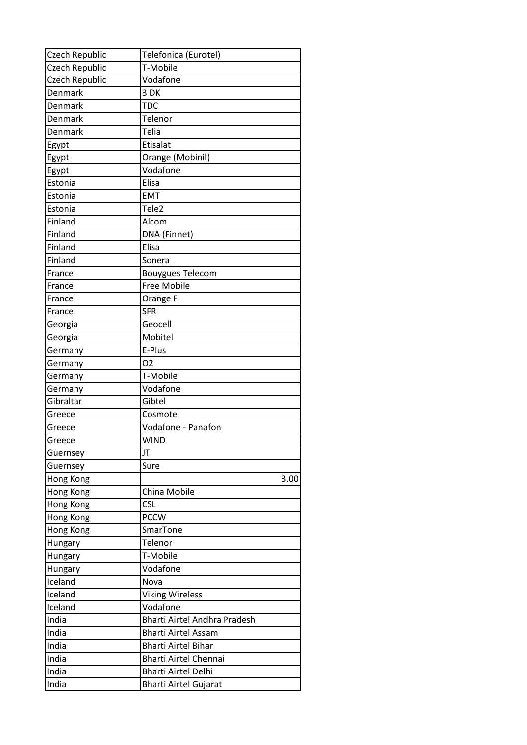| Czech Republic | Telefonica (Eurotel)                |
|----------------|-------------------------------------|
| Czech Republic | T-Mobile                            |
| Czech Republic | Vodafone                            |
| Denmark        | 3 DK                                |
| Denmark        | <b>TDC</b>                          |
| Denmark        | Telenor                             |
| Denmark        | Telia                               |
| Egypt          | Etisalat                            |
| Egypt          | Orange (Mobinil)                    |
| Egypt          | Vodafone                            |
| Estonia        | Elisa                               |
| Estonia        | <b>EMT</b>                          |
| Estonia        | Tele <sub>2</sub>                   |
| Finland        | Alcom                               |
| Finland        | DNA (Finnet)                        |
| Finland        | Elisa                               |
| Finland        | Sonera                              |
| France         | <b>Bouygues Telecom</b>             |
| France         | Free Mobile                         |
| France         | Orange F                            |
| France         | <b>SFR</b>                          |
| Georgia        | Geocell                             |
| Georgia        | Mobitel                             |
| Germany        | E-Plus                              |
| Germany        | O <sub>2</sub>                      |
| Germany        | T-Mobile                            |
| Germany        | Vodafone                            |
| Gibraltar      | Gibtel                              |
| Greece         | Cosmote                             |
| Greece         | Vodafone - Panafon                  |
| Greece         | <b>WIND</b>                         |
| Guernsey       | JT                                  |
| Guernsey       | Sure                                |
| Hong Kong      | 3.00                                |
| Hong Kong      | China Mobile                        |
| Hong Kong      | <b>CSL</b>                          |
| Hong Kong      | <b>PCCW</b>                         |
| Hong Kong      | SmarTone                            |
| Hungary        | Telenor                             |
| Hungary        | T-Mobile                            |
| Hungary        | Vodafone                            |
| Iceland        | Nova                                |
| Iceland        | <b>Viking Wireless</b>              |
| Iceland        | Vodafone                            |
| India          | <b>Bharti Airtel Andhra Pradesh</b> |
| India          | <b>Bharti Airtel Assam</b>          |
| India          | <b>Bharti Airtel Bihar</b>          |
| India          | <b>Bharti Airtel Chennai</b>        |
| India          | <b>Bharti Airtel Delhi</b>          |
| India          | <b>Bharti Airtel Gujarat</b>        |
|                |                                     |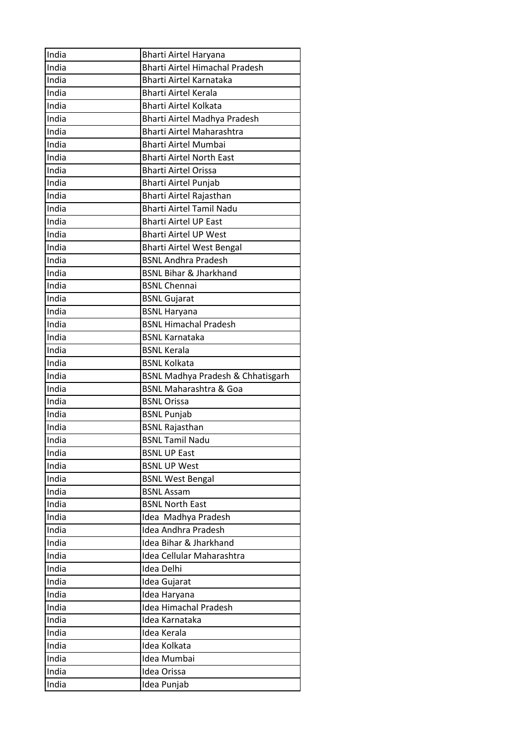| India      | <b>Bharti Airtel Haryana</b>                 |
|------------|----------------------------------------------|
| India      | <b>Bharti Airtel Himachal Pradesh</b>        |
| India      | Bharti Airtel Karnataka                      |
| India      | <b>Bharti Airtel Kerala</b>                  |
| India      | <b>Bharti Airtel Kolkata</b>                 |
| India      | Bharti Airtel Madhya Pradesh                 |
| India      | <b>Bharti Airtel Maharashtra</b>             |
| India      | <b>Bharti Airtel Mumbai</b>                  |
| -<br>India | <b>Bharti Airtel North East</b>              |
| India      | <b>Bharti Airtel Orissa</b>                  |
| India      | Bharti Airtel Punjab                         |
| India      | Bharti Airtel Rajasthan                      |
| India      | <b>Bharti Airtel Tamil Nadu</b>              |
| -<br>India | <b>Bharti Airtel UP East</b>                 |
| India      | <b>Bharti Airtel UP West</b>                 |
| India      | <b>Bharti Airtel West Bengal</b>             |
| India      | <b>BSNL Andhra Pradesh</b>                   |
| India      | <b>BSNL Bihar &amp; Jharkhand</b>            |
| India      | <b>BSNL Chennai</b>                          |
| India      | <b>BSNL Gujarat</b>                          |
| India      | <b>BSNL Haryana</b>                          |
| India      | <b>BSNL Himachal Pradesh</b>                 |
| India      | <b>BSNL Karnataka</b>                        |
| India      | <b>BSNL Kerala</b>                           |
| India      | <b>BSNL Kolkata</b>                          |
|            |                                              |
|            |                                              |
| India      | <b>BSNL Madhya Pradesh &amp; Chhatisgarh</b> |
| India      | <b>BSNL Maharashtra &amp; Goa</b>            |
| India      | <b>BSNL Orissa</b>                           |
| India      | <b>BSNL Punjab</b>                           |
| India      | <b>BSNL Rajasthan</b>                        |
| India      | BSNL Tamil Nadu                              |
| India      | <b>BSNL UP East</b>                          |
| India      | <b>BSNL UP West</b>                          |
| India      | <b>BSNL West Bengal</b>                      |
| India      | <b>BSNL Assam</b>                            |
| India      | <b>BSNL North East</b>                       |
| India      | Idea Madhya Pradesh                          |
| India      | Idea Andhra Pradesh                          |
| India      | Idea Bihar & Jharkhand                       |
| India      | Idea Cellular Maharashtra                    |
| India      | Idea Delhi                                   |
| India      | Idea Gujarat                                 |
| India      | Idea Haryana                                 |
| India      | <b>Idea Himachal Pradesh</b>                 |
| India      | Idea Karnataka                               |
| India      | Idea Kerala                                  |
| India      | Idea Kolkata                                 |
| India      | Idea Mumbai                                  |
| India      | Idea Orissa                                  |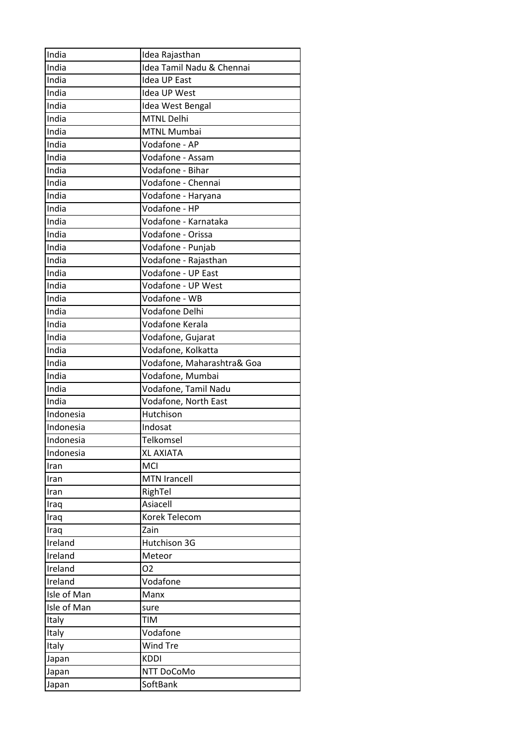| India       | Idea Rajasthan             |
|-------------|----------------------------|
| India       | Idea Tamil Nadu & Chennai  |
| India       | <b>Idea UP East</b>        |
| -<br>India  | Idea UP West               |
| India       | Idea West Bengal           |
| India       | <b>MTNL Delhi</b>          |
| India       | MTNL Mumbai                |
| India       | Vodafone - AP              |
| India       | Vodafone - Assam           |
| India       | Vodafone - Bihar           |
| India       | Vodafone - Chennai         |
| India       | Vodafone - Haryana         |
| India       | Vodafone - HP              |
| India       | Vodafone - Karnataka       |
| India       | Vodafone - Orissa          |
| India       | Vodafone - Punjab          |
| India       | Vodafone - Rajasthan       |
| India       | Vodafone - UP East         |
| India       | Vodafone - UP West         |
| India       | Vodafone - WB              |
| India       | <b>Vodafone Delhi</b>      |
| India       | Vodafone Kerala            |
| -<br>India  | Vodafone, Gujarat          |
| India       | Vodafone, Kolkatta         |
| India       | Vodafone, Maharashtra& Goa |
| India       | Vodafone, Mumbai           |
| India       | Vodafone, Tamil Nadu       |
| India       | Vodafone, North East       |
| Indonesia   | Hutchison                  |
| Indonesia   | Indosat                    |
| Indonesia   | Telkomsel                  |
| Indonesia   | <b>XL AXIATA</b>           |
| Iran        | <b>MCI</b>                 |
| Iran        | <b>MTN Irancell</b>        |
| Iran        | RighTel                    |
| Iraq        | Asiacell                   |
| Iraq        | Korek Telecom              |
| Iraq        | Zain                       |
| Ireland     | Hutchison 3G               |
| Ireland     | Meteor                     |
| Ireland     | 02                         |
| Ireland     | Vodafone                   |
| Isle of Man | Manx                       |
| Isle of Man | sure                       |
| Italy       | <b>TIM</b>                 |
| Italy       | Vodafone                   |
| Italy       | Wind Tre                   |
| Japan       | <b>KDDI</b>                |
| Japan       | NTT DoCoMo                 |
| Japan       | SoftBank                   |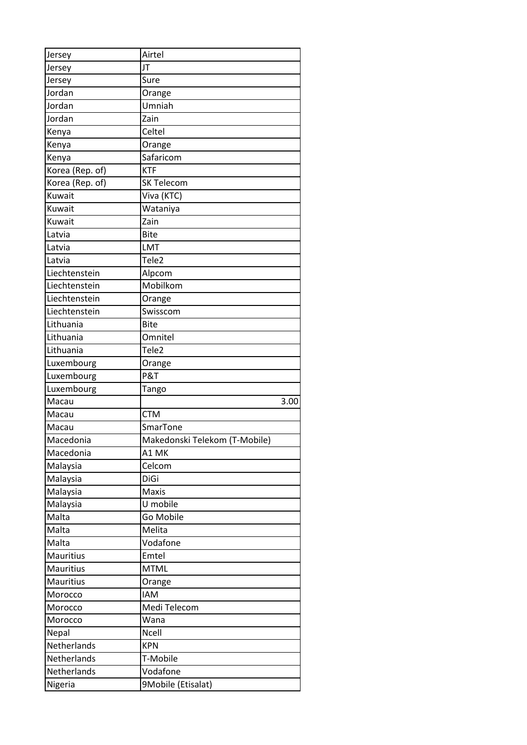| Jersey           | Airtel                        |      |
|------------------|-------------------------------|------|
| Jersey           | JT                            |      |
| Jersey           | Sure                          |      |
| Jordan           | Orange                        |      |
| Jordan           | Umniah                        |      |
| Jordan           | Zain                          |      |
| Kenya            | Celtel                        |      |
| Kenya            | Orange                        |      |
| Kenya            | Safaricom                     |      |
| Korea (Rep. of)  | <b>KTF</b>                    |      |
| Korea (Rep. of)  | <b>SK Telecom</b>             |      |
| Kuwait           | Viva (KTC)                    |      |
| Kuwait           | Wataniya                      |      |
| Kuwait           | Zain                          |      |
| Latvia           | <b>Bite</b>                   |      |
| Latvia           | LMT                           |      |
| Latvia           | Tele <sub>2</sub>             |      |
| Liechtenstein    | Alpcom                        |      |
| Liechtenstein    | Mobilkom                      |      |
| Liechtenstein    | Orange                        |      |
| Liechtenstein    | Swisscom                      |      |
| Lithuania        | <b>Bite</b>                   |      |
| Lithuania        | Omnitel                       |      |
| Lithuania        | Tele <sub>2</sub>             |      |
| Luxembourg       | Orange                        |      |
| Luxembourg       | P&T                           |      |
|                  |                               |      |
| Luxembourg       | Tango                         |      |
| Macau            |                               | 3.00 |
| Macau            | <b>CTM</b>                    |      |
| Macau            | SmarTone                      |      |
| Macedonia        | Makedonski Telekom (T-Mobile) |      |
| Macedonia        | A1 MK                         |      |
| Malaysia         | Celcom                        |      |
| Malaysia         | DiGi                          |      |
| Malaysia         | <b>Maxis</b>                  |      |
| Malaysia         | U mobile                      |      |
| Malta            | Go Mobile                     |      |
| Malta            | Melita                        |      |
| Malta            | Vodafone                      |      |
| <b>Mauritius</b> | Emtel                         |      |
| <b>Mauritius</b> | <b>MTML</b>                   |      |
| <b>Mauritius</b> | Orange                        |      |
| Morocco          | <b>IAM</b>                    |      |
| Morocco          | Medi Telecom                  |      |
| Morocco          | Wana                          |      |
| Nepal            | <b>Ncell</b>                  |      |
| Netherlands      | <b>KPN</b>                    |      |
| Netherlands      | T-Mobile                      |      |
| Netherlands      | Vodafone                      |      |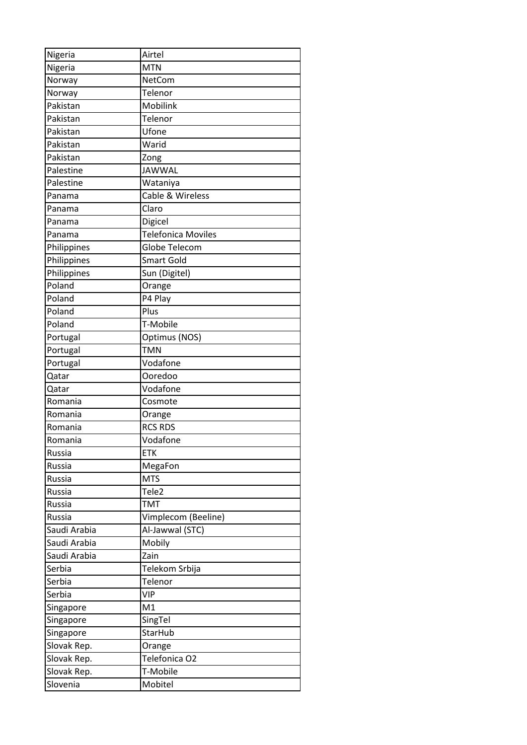| Nigeria      | Airtel                    |
|--------------|---------------------------|
| Nigeria      | <b>MTN</b>                |
| Norway       | NetCom                    |
| Norway       | Telenor                   |
| Pakistan     | Mobilink                  |
| Pakistan     | Telenor                   |
| Pakistan     | Ufone                     |
| Pakistan     | Warid                     |
| Pakistan     | Zong                      |
| Palestine    | <b>JAWWAL</b>             |
| Palestine    | Wataniya                  |
| Panama       | Cable & Wireless          |
| Panama       | Claro                     |
| Panama       | Digicel                   |
| Panama       | <b>Telefonica Moviles</b> |
| Philippines  | Globe Telecom             |
| Philippines  | <b>Smart Gold</b>         |
| Philippines  | Sun (Digitel)             |
| Poland       | Orange                    |
| Poland       | P4 Play                   |
| Poland       | Plus                      |
| Poland       | T-Mobile                  |
| Portugal     | Optimus (NOS)             |
| Portugal     | <b>TMN</b>                |
| Portugal     | Vodafone                  |
| Qatar        | Ooredoo                   |
| Qatar        | Vodafone                  |
| Romania      | Cosmote                   |
| Romania      | Orange                    |
| Romania      | <b>RCS RDS</b>            |
| Romania      | Vodafone                  |
| Russia       | <b>ETK</b>                |
| Russia       | MegaFon                   |
| Russia       | <b>MTS</b>                |
| Russia       | Tele <sub>2</sub>         |
| Russia       | <b>TMT</b>                |
| Russia       | Vimplecom (Beeline)       |
| Saudi Arabia | Al-Jawwal (STC)           |
| Saudi Arabia | Mobily                    |
| Saudi Arabia | Zain                      |
| Serbia       | Telekom Srbija            |
| Serbia       | Telenor                   |
| Serbia       | <b>VIP</b>                |
| Singapore    | M1                        |
| Singapore    | SingTel                   |
| Singapore    | StarHub                   |
| Slovak Rep.  | Orange                    |
| Slovak Rep.  | Telefonica O2             |
| Slovak Rep.  | T-Mobile                  |
| Slovenia     | Mobitel                   |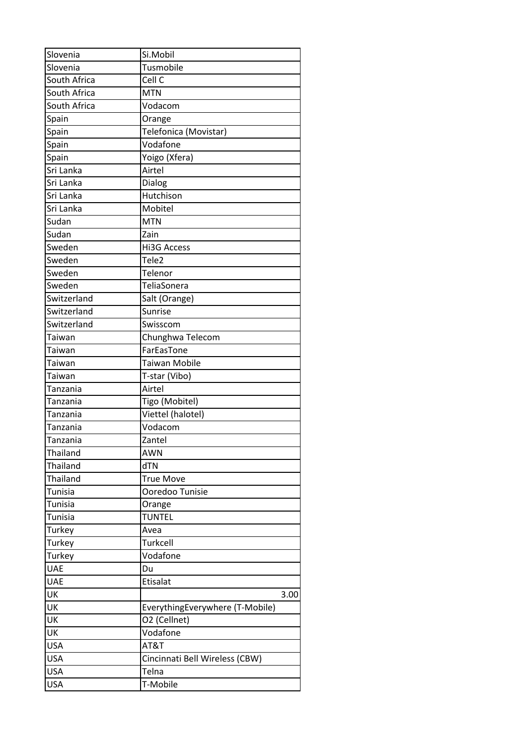| Slovenia       | Si.Mobil                        |
|----------------|---------------------------------|
| Slovenia       | Tusmobile                       |
| South Africa   | Cell C                          |
| South Africa   | <b>MTN</b>                      |
| South Africa   | Vodacom                         |
| Spain          | Orange                          |
| Spain          | Telefonica (Movistar)           |
| Spain          | Vodafone                        |
| Spain          | Yoigo (Xfera)                   |
| Sri Lanka      | Airtel                          |
| Sri Lanka      | Dialog                          |
| Sri Lanka      | Hutchison                       |
| Sri Lanka      | Mobitel                         |
| Sudan          | <b>MTN</b>                      |
| Sudan          | Zain                            |
| Sweden         | <b>Hi3G Access</b>              |
| Sweden         | Tele2                           |
| Sweden         | Telenor                         |
| Sweden         | TeliaSonera                     |
| Switzerland    | Salt (Orange)                   |
| Switzerland    | Sunrise                         |
| Switzerland    | Swisscom                        |
| Taiwan         | Chunghwa Telecom                |
| Taiwan         | FarEasTone                      |
| Taiwan         | <b>Taiwan Mobile</b>            |
| Taiwan         | T-star (Vibo)                   |
| Tanzania       | Airtel                          |
| Tanzania       | Tigo (Mobitel)                  |
| Tanzania       | Viettel (halotel)               |
| Tanzania       | Vodacom                         |
| Tanzania       | Zantel                          |
| Thailand       | AWN                             |
| Thailand       | dTN                             |
| Thailand       | <b>True Move</b>                |
| Tunisia        | Ooredoo Tunisie                 |
| <b>Tunisia</b> | Orange                          |
| Tunisia        | <b>TUNTEL</b>                   |
| Turkey         | Avea                            |
| Turkey         | Turkcell                        |
| Turkey         | Vodafone                        |
| <b>UAE</b>     | Du                              |
| <b>UAE</b>     | Etisalat                        |
| UK             | 3.00                            |
| UK             | EverythingEverywhere (T-Mobile) |
| UK             | O2 (Cellnet)                    |
| UK             | Vodafone                        |
| <b>USA</b>     | AT&T                            |
| <b>USA</b>     | Cincinnati Bell Wireless (CBW)  |
| <b>USA</b>     | Telna                           |
| <b>USA</b>     | T-Mobile                        |